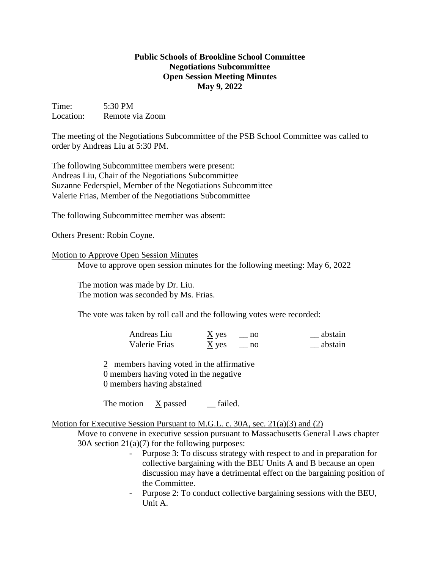## **Public Schools of Brookline School Committee Negotiations Subcommittee Open Session Meeting Minutes May 9, 2022**

Time: 5:30 PM Location: Remote via Zoom

The meeting of the Negotiations Subcommittee of the PSB School Committee was called to order by Andreas Liu at 5:30 PM.

The following Subcommittee members were present: Andreas Liu, Chair of the Negotiations Subcommittee Suzanne Federspiel, Member of the Negotiations Subcommittee Valerie Frias, Member of the Negotiations Subcommittee

The following Subcommittee member was absent:

Others Present: Robin Coyne.

## Motion to Approve Open Session Minutes

Move to approve open session minutes for the following meeting: May 6, 2022

The motion was made by Dr. Liu. The motion was seconded by Ms. Frias.

The vote was taken by roll call and the following votes were recorded:

| Andreas Liu   | $\underline{X}$ yes | abstain |
|---------------|---------------------|---------|
| Valerie Frias | $\underline{X}$ yes | abstain |

2 members having voted in the affirmative 0 members having voted in the negative 0 members having abstained

The motion X passed \_\_ failed.

## Motion for Executive Session Pursuant to M.G.L. c. 30A, sec. 21(a)(3) and (2)

Move to convene in executive session pursuant to Massachusetts General Laws chapter 30A section  $21(a)(7)$  for the following purposes:

- Purpose 3: To discuss strategy with respect to and in preparation for collective bargaining with the BEU Units A and B because an open discussion may have a detrimental effect on the bargaining position of the Committee.
- Purpose 2: To conduct collective bargaining sessions with the BEU, Unit A.